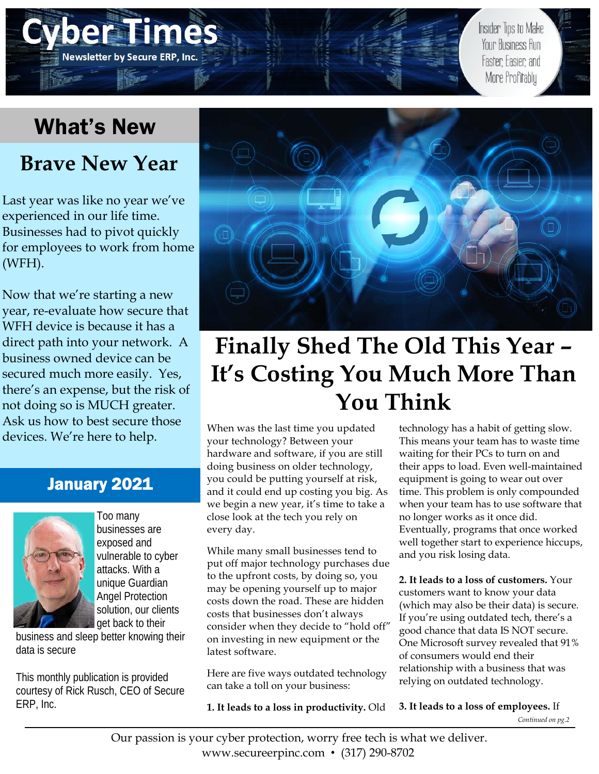# What's New

**PEEM** 

**Newsletter by Secure ERP, Inc.** 

# **Brave New Year**

Last year was like no year we've experienced in our life time. Businesses had to pivot quickly for employees to work from home (WFH).

Now that we're starting a new year, re-evaluate how secure that WFH device is because it has a direct path into your network. A business owned device can be secured much more easily. Yes, there's an expense, but the risk of not doing so is MUCH greater. Ask us how to best secure those devices. We're here to help.

### January 2021



Too many businesses are exposed and vulnerable to cyber attacks. With a unique Guardian Angel Protection solution, our clients get back to their

business and sleep better knowing their data is secure

This monthly publication is provided courtesy of Rick Rusch, CEO of Secure ERP, Inc.



# **Finally Shed The Old This Year – It's Costing You Much More Than You Think**

When was the last time you updated your technology? Between your hardware and software, if you are still doing business on older technology, you could be putting yourself at risk, and it could end up costing you big. As we begin a new year, it's time to take a close look at the tech you rely on every day.

While many small businesses tend to put off major technology purchases due to the upfront costs, by doing so, you may be opening yourself up to major costs down the road. These are hidden costs that businesses don't always consider when they decide to "hold off" on investing in new equipment or the latest software.

Here are five ways outdated technology can take a toll on your business:

**1. It leads to a loss in productivity.** Old

technology has a habit of getting slow. This means your team has to waste time waiting for their PCs to turn on and their apps to load. Even well-maintained equipment is going to wear out over time. This problem is only compounded when your team has to use software that no longer works as it once did. Eventually, programs that once worked well together start to experience hiccups, and you risk losing data.

Insider Tips to Make

Your Business Run

Faster, Easier, and More Profitably

**2. It leads to a loss of customers.** Your customers want to know your data (which may also be their data) is secure. If you're using outdated tech, there's a good chance that data IS NOT secure. One Microsoft survey revealed that 91% of consumers would end their relationship with a business that was relying on outdated technology.

**3. It leads to a loss of employees.** If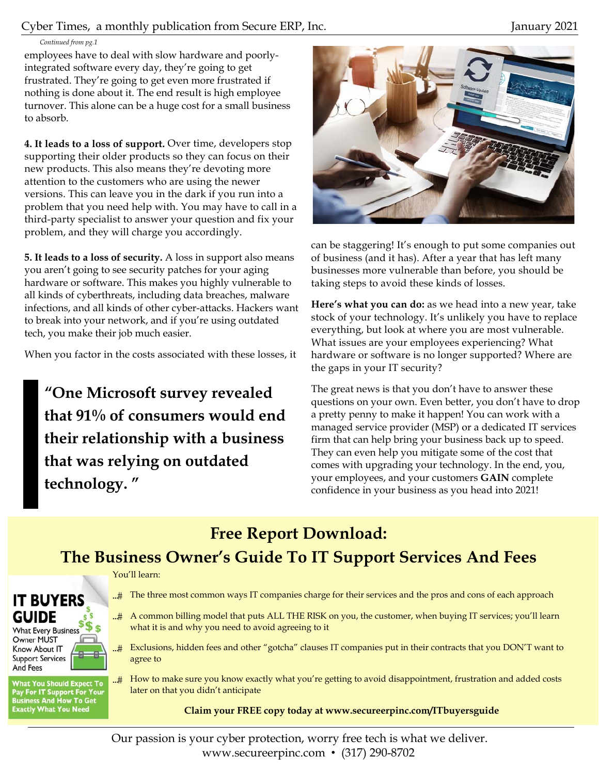#### Cyber Times, a monthly publication from Secure ERP, Inc. January 2021

#### *Continued from pg.1*

employees have to deal with slow hardware and poorlyintegrated software every day, they're going to get frustrated. They're going to get even more frustrated if nothing is done about it. The end result is high employee turnover. This alone can be a huge cost for a small business to absorb.

**4. It leads to a loss of support.** Over time, developers stop supporting their older products so they can focus on their new products. This also means they're devoting more attention to the customers who are using the newer versions. This can leave you in the dark if you run into a problem that you need help with. You may have to call in a third-party specialist to answer your question and fix your problem, and they will charge you accordingly.

**5. It leads to a loss of security.** A loss in support also means you aren't going to see security patches for your aging hardware or software. This makes you highly vulnerable to all kinds of cyberthreats, including data breaches, malware infections, and all kinds of other cyber-attacks. Hackers want to break into your network, and if you're using outdated tech, you make their job much easier.

When you factor in the costs associated with these losses, it

**"One Microsoft survey revealed that 91% of consumers would end their relationship with a business that was relying on outdated technology. "** 



can be staggering! It's enough to put some companies out of business (and it has). After a year that has left many businesses more vulnerable than before, you should be taking steps to avoid these kinds of losses.

**Here's what you can do:** as we head into a new year, take stock of your technology. It's unlikely you have to replace everything, but look at where you are most vulnerable. What issues are your employees experiencing? What hardware or software is no longer supported? Where are the gaps in your IT security?

The great news is that you don't have to answer these questions on your own. Even better, you don't have to drop a pretty penny to make it happen! You can work with a managed service provider (MSP) or a dedicated IT services firm that can help bring your business back up to speed. They can even help you mitigate some of the cost that comes with upgrading your technology. In the end, you, your employees, and your customers **GAIN** complete confidence in your business as you head into 2021!

## **Free Report Download: The Business Owner's Guide To IT Support Services And Fees**

#### You'll learn:

#### **IT BUYERS** GUIDE **What Every Business**

Owner MUST ſr-Know About IT **Support Services** And Fees

**What You Should Expect To** Pay For IT Support For Your<br>Business And How To Get<br>Exactly What You Need

- The three most common ways IT companies charge for their services and the pros and cons of each approach
- $\pm$  A common billing model that puts ALL THE RISK on you, the customer, when buying IT services; you'll learn what it is and why you need to avoid agreeing to it
- Exclusions, hidden fees and other "gotcha" clauses IT companies put in their contracts that you DON'T want to agree to
- How to make sure you know exactly what you're getting to avoid disappointment, frustration and added costs later on that you didn't anticipate

**Claim your FREE copy today at www.secureerpinc.com/ITbuyersguide**

Our passion is your cyber protection, worry free tech is what we deliver. www.secureerpinc.com • (317) 290-8702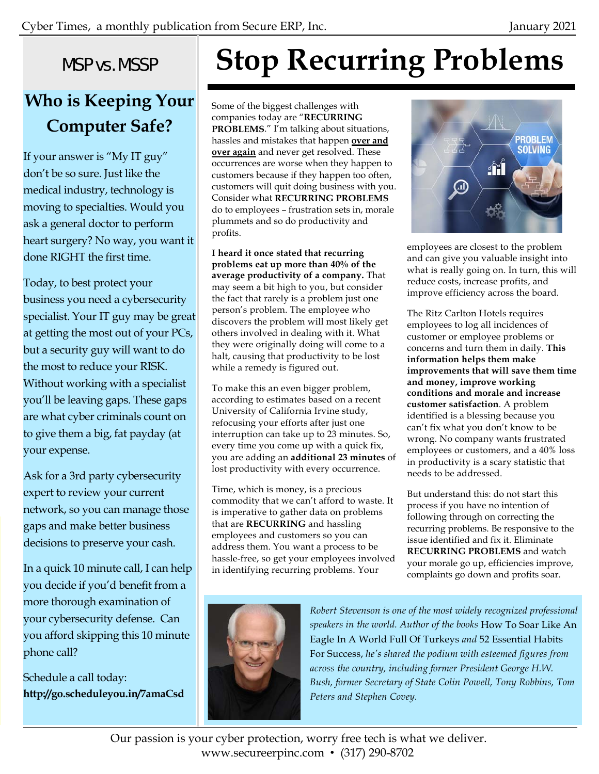## MSP vs. MSSP

# **Who is Keeping Your Computer Safe?**

If your answer is "My IT guy" don't be so sure. Just like the medical industry, technology is moving to specialties. Would you ask a general doctor to perform heart surgery? No way, you want it done RIGHT the first time.

Today, to best protect your business you need a cybersecurity specialist. Your IT guy may be great at getting the most out of your PCs, but a security guy will want to do the most to reduce your RISK. Without working with a specialist you'll be leaving gaps. These gaps are what cyber criminals count on to give them a big, fat payday (at your expense.

Ask for a 3rd party cybersecurity expert to review your current network, so you can manage those gaps and make better business decisions to preserve your cash.

In a quick 10 minute call, I can help you decide if you'd benefit from a more thorough examination of your cybersecurity defense. Can you afford skipping this 10 minute phone call?

Schedule a call today: **http://go.scheduleyou.in/7amaCsd** 

# **Stop Recurring Problems**

Some of the biggest challenges with companies today are "**RECURRING PROBLEMS**." I'm talking about situations, hassles and mistakes that happen **over and over again** and never get resolved. These occurrences are worse when they happen to customers because if they happen too often, customers will quit doing business with you. Consider what **RECURRING PROBLEMS** do to employees – frustration sets in, morale plummets and so do productivity and profits.

**I heard it once stated that recurring problems eat up more than 40% of the average productivity of a company.** That may seem a bit high to you, but consider the fact that rarely is a problem just one person's problem. The employee who discovers the problem will most likely get others involved in dealing with it. What they were originally doing will come to a halt, causing that productivity to be lost while a remedy is figured out.

To make this an even bigger problem, according to estimates based on a recent University of California Irvine study, refocusing your efforts after just one interruption can take up to 23 minutes. So, every time you come up with a quick fix, you are adding an **additional 23 minutes** of lost productivity with every occurrence.

Time, which is money, is a precious commodity that we can't afford to waste. It is imperative to gather data on problems that are **RECURRING** and hassling employees and customers so you can address them. You want a process to be hassle-free, so get your employees involved in identifying recurring problems. Your



employees are closest to the problem and can give you valuable insight into what is really going on. In turn, this will reduce costs, increase profits, and improve efficiency across the board.

The Ritz Carlton Hotels requires employees to log all incidences of customer or employee problems or concerns and turn them in daily. **This information helps them make improvements that will save them time and money, improve working conditions and morale and increase customer satisfaction**. A problem identified is a blessing because you can't fix what you don't know to be wrong. No company wants frustrated employees or customers, and a 40% loss in productivity is a scary statistic that needs to be addressed.

But understand this: do not start this process if you have no intention of following through on correcting the recurring problems. Be responsive to the issue identified and fix it. Eliminate **RECURRING PROBLEMS** and watch your morale go up, efficiencies improve, complaints go down and profits soar.



*Robert Stevenson is one of the most widely recognized professional speakers in the world. Author of the books* How To Soar Like An Eagle In A World Full Of Turkeys *and* 52 Essential Habits For Success, *he's shared the podium with esteemed figures from across the country, including former President George H.W. Bush, former Secretary of State Colin Powell, Tony Robbins, Tom Peters and Stephen Covey.*